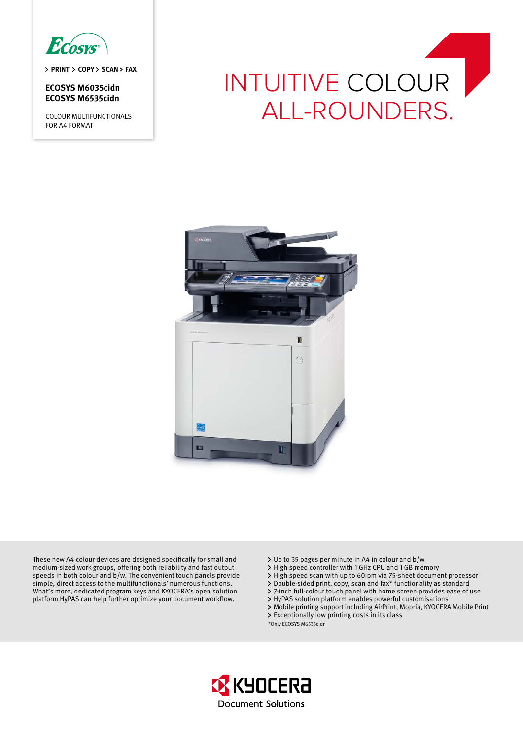

> PRINT > COPY > SCAN > FAX

**ECOSYS M6035cidn ECOSYS M6535cidn**

COLOUR MULTIFUNCTIONALS FOR A4 FORMAT

# INTUITIVE COLOUR ALL-ROUNDERS.



These new A4 colour devices are designed specifically for small and medium-sized work groups, offering both reliability and fast output speeds in both colour and b/w. The convenient touch panels provide simple, direct access to the multifunctionals' numerous functions. What's more, dedicated program keys and KYOCERA's open solution platform HyPAS can help further optimize your document workflow.

- Up to 35 pages per minute in A4 in colour and b/w
- > High speed controller with 1 GHz CPU and 1 GB memory
- High speed scan with up to 60ipm via 75-sheet document processor
- Double-sided print, copy, scan and fax\* functionality as standard
- 7-inch full-colour touch panel with home screen provides ease of use
- HyPAS solution platform enables powerful customisations
- Mobile printing support including AirPrint, Mopria, KYOCERA Mobile Print Exceptionally low printing costs in its class

\*Only ECOSYS M6535cidn